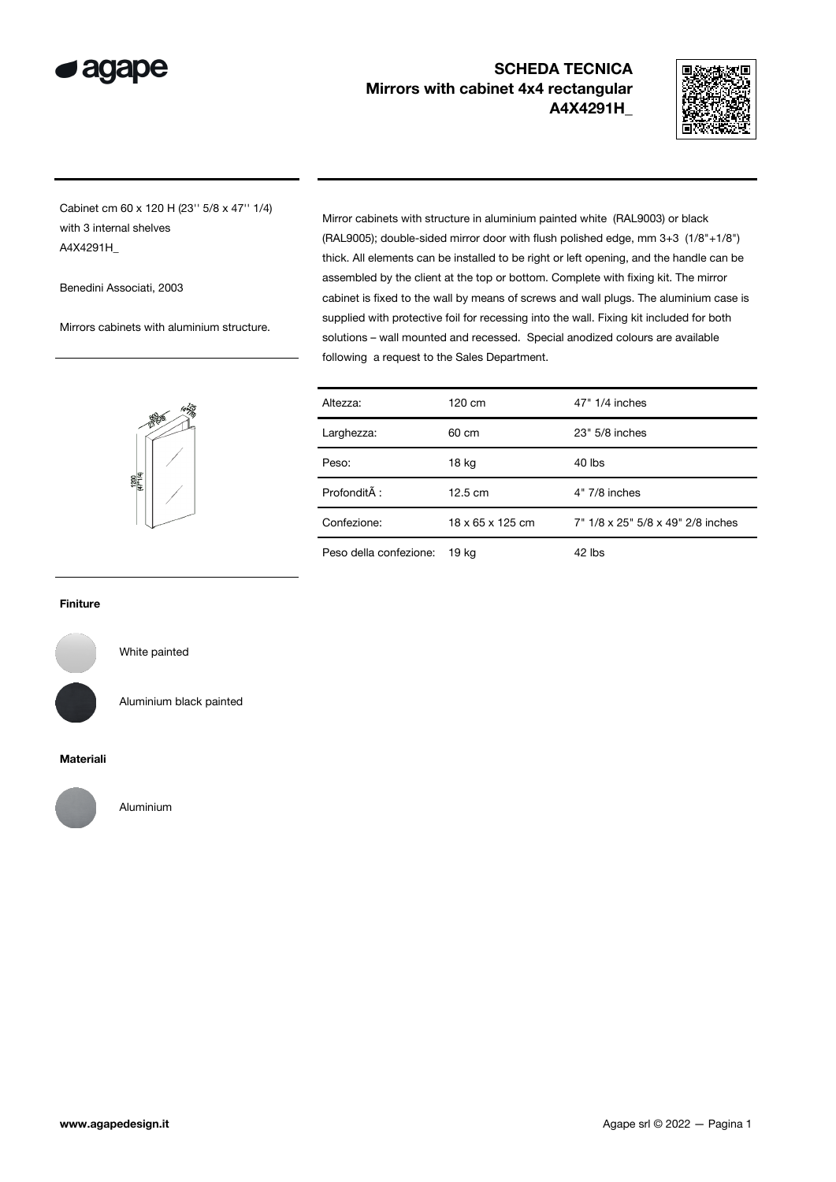

## SCHEDA TECNICA Mirrors with cabinet 4x4 rectangular A4X4291H\_



Cabinet cm 60 x 120 H (23'' 5/8 x 47'' 1/4) with 3 internal shelves A4X4291H\_

Benedini Associati, 2003

Mirrors cabinets with aluminium structure.

Mirror cabinets with structure in aluminium painted white (RAL9003) or black (RAL9005); double-sided mirror door with flush polished edge, mm 3+3 (1/8"+1/8") thick. All elements can be installed to be right or left opening, and the handle can be assembled by the client at the top or bottom. Complete with fixing kit. The mirror cabinet is fixed to the wall by means of screws and wall plugs. The aluminium case is supplied with protective foil for recessing into the wall. Fixing kit included for both solutions – wall mounted and recessed. Special anodized colours are available following a request to the Sales Department.



| Altezza:               | 120 cm            | 47" 1/4 inches                    |
|------------------------|-------------------|-----------------------------------|
| Larghezza:             | 60 cm             | 23" 5/8 inches                    |
| Peso:                  | 18 kg             | 40 lbs                            |
| Profondità :           | $12.5 \text{ cm}$ | $4"$ 7/8 inches                   |
| Confezione:            | 18 x 65 x 125 cm  | 7" 1/8 x 25" 5/8 x 49" 2/8 inches |
| Peso della confezione: | 19 kg             | 42 lbs                            |

Finiture



White painted

Aluminium black painted

## Materiali



Aluminium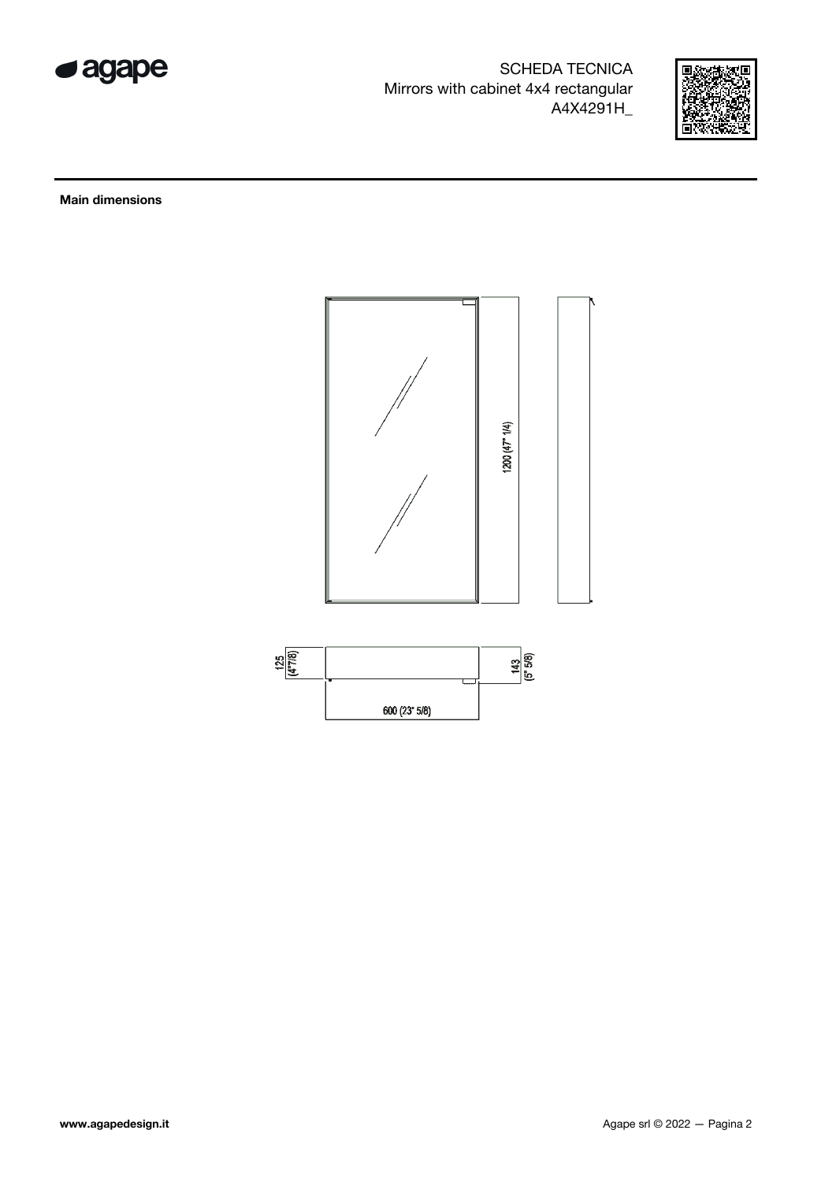

SCHEDA TECNICA Mirrors with cabinet 4x4 rectangular A4X4291H\_



Main dimensions